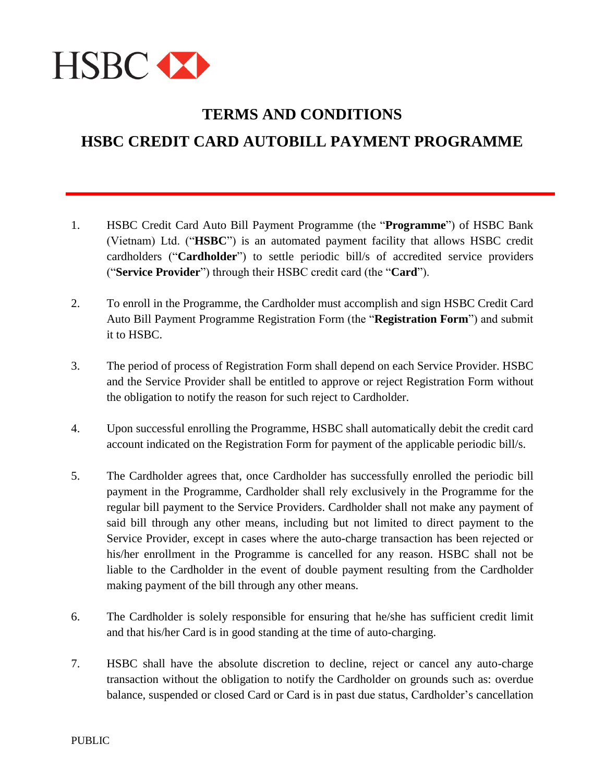

## **TERMS AND CONDITIONS HSBC CREDIT CARD AUTOBILL PAYMENT PROGRAMME**

- 1. HSBC Credit Card Auto Bill Payment Programme (the "**Programme**") of HSBC Bank (Vietnam) Ltd. ("**HSBC**") is an automated payment facility that allows HSBC credit cardholders ("**Cardholder**") to settle periodic bill/s of accredited service providers ("**Service Provider**") through their HSBC credit card (the "**Card**").
- 2. To enroll in the Programme, the Cardholder must accomplish and sign HSBC Credit Card Auto Bill Payment Programme Registration Form (the "**Registration Form**") and submit it to HSBC.
- 3. The period of process of Registration Form shall depend on each Service Provider. HSBC and the Service Provider shall be entitled to approve or reject Registration Form without the obligation to notify the reason for such reject to Cardholder.
- 4. Upon successful enrolling the Programme, HSBC shall automatically debit the credit card account indicated on the Registration Form for payment of the applicable periodic bill/s.
- 5. The Cardholder agrees that, once Cardholder has successfully enrolled the periodic bill payment in the Programme, Cardholder shall rely exclusively in the Programme for the regular bill payment to the Service Providers. Cardholder shall not make any payment of said bill through any other means, including but not limited to direct payment to the Service Provider, except in cases where the auto-charge transaction has been rejected or his/her enrollment in the Programme is cancelled for any reason. HSBC shall not be liable to the Cardholder in the event of double payment resulting from the Cardholder making payment of the bill through any other means.
- 6. The Cardholder is solely responsible for ensuring that he/she has sufficient credit limit and that his/her Card is in good standing at the time of auto-charging.
- 7. HSBC shall have the absolute discretion to decline, reject or cancel any auto-charge transaction without the obligation to notify the Cardholder on grounds such as: overdue balance, suspended or closed Card or Card is in past due status, Cardholder's cancellation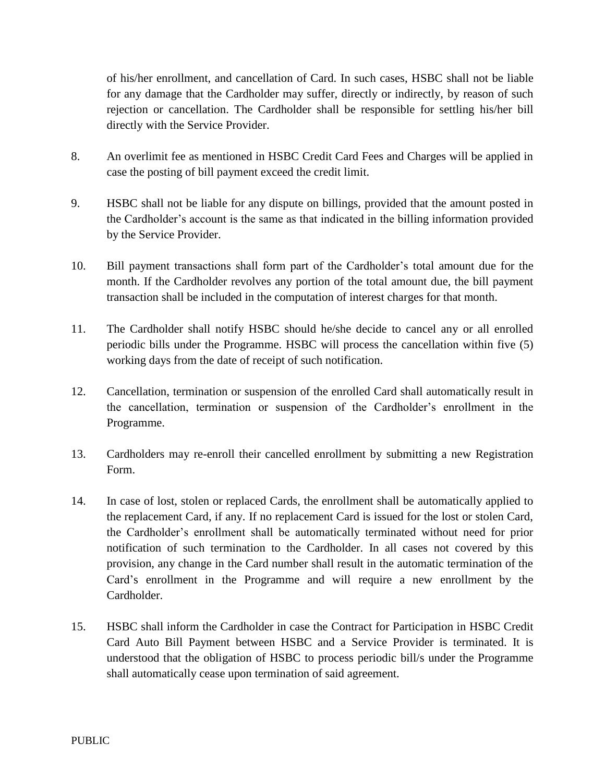of his/her enrollment, and cancellation of Card. In such cases, HSBC shall not be liable for any damage that the Cardholder may suffer, directly or indirectly, by reason of such rejection or cancellation. The Cardholder shall be responsible for settling his/her bill directly with the Service Provider.

- 8. An overlimit fee as mentioned in HSBC Credit Card Fees and Charges will be applied in case the posting of bill payment exceed the credit limit.
- 9. HSBC shall not be liable for any dispute on billings, provided that the amount posted in the Cardholder's account is the same as that indicated in the billing information provided by the Service Provider.
- 10. Bill payment transactions shall form part of the Cardholder's total amount due for the month. If the Cardholder revolves any portion of the total amount due, the bill payment transaction shall be included in the computation of interest charges for that month.
- 11. The Cardholder shall notify HSBC should he/she decide to cancel any or all enrolled periodic bills under the Programme. HSBC will process the cancellation within five (5) working days from the date of receipt of such notification.
- 12. Cancellation, termination or suspension of the enrolled Card shall automatically result in the cancellation, termination or suspension of the Cardholder's enrollment in the Programme.
- 13. Cardholders may re-enroll their cancelled enrollment by submitting a new Registration Form.
- 14. In case of lost, stolen or replaced Cards, the enrollment shall be automatically applied to the replacement Card, if any. If no replacement Card is issued for the lost or stolen Card, the Cardholder's enrollment shall be automatically terminated without need for prior notification of such termination to the Cardholder. In all cases not covered by this provision, any change in the Card number shall result in the automatic termination of the Card's enrollment in the Programme and will require a new enrollment by the Cardholder.
- 15. HSBC shall inform the Cardholder in case the Contract for Participation in HSBC Credit Card Auto Bill Payment between HSBC and a Service Provider is terminated. It is understood that the obligation of HSBC to process periodic bill/s under the Programme shall automatically cease upon termination of said agreement.